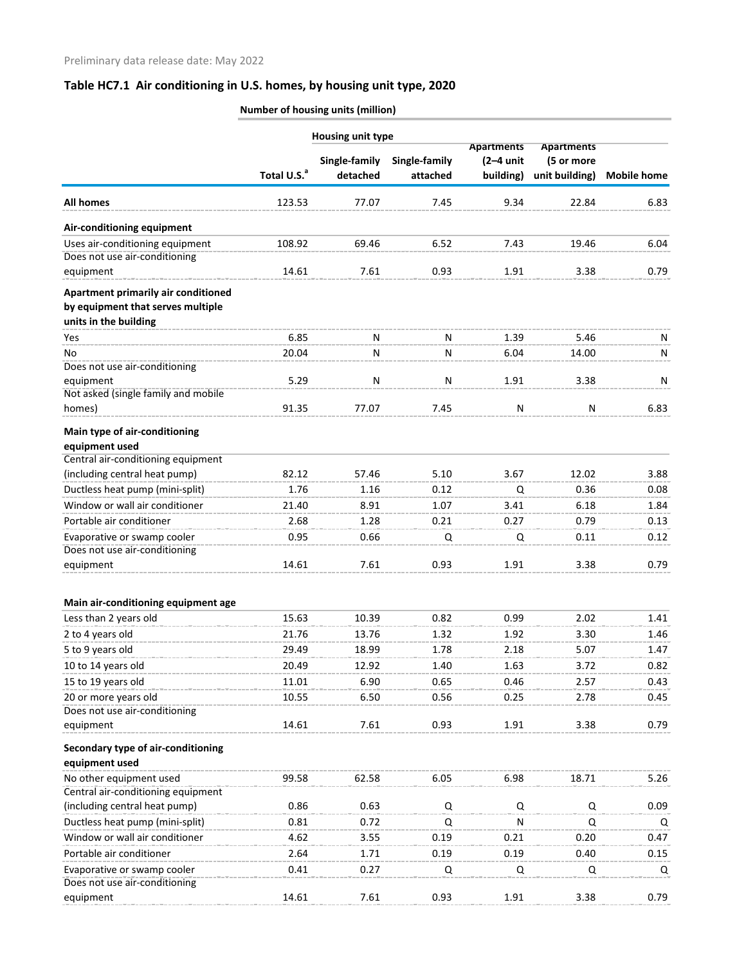| <b>Number of housing units (million)</b> |
|------------------------------------------|
|                                          |

|                                                                                                   |                         |                           | <b>Housing unit type</b>  |                                               |                                                   |                    |
|---------------------------------------------------------------------------------------------------|-------------------------|---------------------------|---------------------------|-----------------------------------------------|---------------------------------------------------|--------------------|
|                                                                                                   | Total U.S. <sup>a</sup> | Single-family<br>detached | Single-family<br>attached | <b>Apartments</b><br>$(2-4$ unit<br>building) | <b>Apartments</b><br>(5 or more<br>unit building) | <b>Mobile home</b> |
| <b>All homes</b>                                                                                  | 123.53                  | 77.07                     | 7.45                      | 9.34                                          | 22.84                                             | 6.83               |
| Air-conditioning equipment                                                                        |                         |                           |                           |                                               |                                                   |                    |
| Uses air-conditioning equipment                                                                   | 108.92                  | 69.46                     | 6.52                      | 7.43                                          | 19.46                                             | 6.04               |
| Does not use air-conditioning                                                                     |                         |                           |                           |                                               |                                                   |                    |
| equipment                                                                                         | 14.61                   | 7.61                      | 0.93                      | 1.91                                          | 3.38                                              | 0.79               |
| Apartment primarily air conditioned<br>by equipment that serves multiple<br>units in the building |                         |                           |                           |                                               |                                                   |                    |
| Yes                                                                                               | 6.85                    | N                         | N                         | 1.39                                          | 5.46                                              | Ν                  |
| No                                                                                                | 20.04                   | N                         | N                         | 6.04                                          | 14.00                                             | N                  |
| Does not use air-conditioning                                                                     |                         |                           |                           |                                               |                                                   |                    |
| equipment                                                                                         | 5.29                    | N                         | N                         | 1.91                                          | 3.38                                              | N                  |
| Not asked (single family and mobile                                                               |                         |                           |                           |                                               |                                                   |                    |
| homes)                                                                                            | 91.35                   | 77.07                     | 7.45                      | ${\sf N}$                                     | N                                                 | 6.83               |
| Main type of air-conditioning                                                                     |                         |                           |                           |                                               |                                                   |                    |
| equipment used                                                                                    |                         |                           |                           |                                               |                                                   |                    |
| Central air-conditioning equipment                                                                |                         |                           |                           |                                               |                                                   |                    |
| (including central heat pump)                                                                     | 82.12                   | 57.46                     | 5.10                      | 3.67                                          | 12.02                                             | 3.88               |
| Ductless heat pump (mini-split)                                                                   | 1.76                    | 1.16                      | 0.12                      | Q                                             | 0.36                                              | 0.08               |
| Window or wall air conditioner                                                                    | 21.40                   | 8.91                      | 1.07                      | 3.41                                          | 6.18                                              | 1.84               |
| Portable air conditioner                                                                          | 2.68                    | 1.28                      | 0.21                      | 0.27                                          | 0.79                                              | 0.13               |
| Evaporative or swamp cooler                                                                       | 0.95                    | 0.66                      | Q                         | Q                                             | 0.11                                              | 0.12               |
| Does not use air-conditioning                                                                     |                         |                           |                           |                                               |                                                   |                    |
| equipment                                                                                         | 14.61                   | 7.61                      | 0.93                      | 1.91                                          | 3.38                                              | 0.79               |
| Main air-conditioning equipment age                                                               |                         |                           |                           |                                               |                                                   |                    |
| Less than 2 years old                                                                             | 15.63                   | 10.39                     | 0.82                      | 0.99                                          | 2.02                                              | 1.41               |
|                                                                                                   | 21.76                   | 13.76                     | 1.32                      | 1.92                                          | 3.30                                              |                    |
| 2 to 4 years old                                                                                  | 29.49                   |                           |                           |                                               |                                                   | 1.46               |
| 5 to 9 years old                                                                                  |                         | 18.99                     | 1.78                      | 2.18                                          | 5.07                                              | 1.47               |
| 10 to 14 years old                                                                                | 20.49                   | 12.92                     | 1.40                      | 1.63                                          | 3.72                                              | 0.82               |
| 15 to 19 years old                                                                                | 11.01                   | 6.90                      | 0.65                      | 0.46                                          | 2.57                                              | 0.43               |
| 20 or more years old<br>Does not use air-conditioning                                             | 10.55                   | 6.50                      | 0.56                      | 0.25                                          | 2.78                                              | 0.45               |
| equipment                                                                                         | 14.61                   | 7.61                      | 0.93                      | 1.91                                          | 3.38                                              | 0.79               |
| Secondary type of air-conditioning<br>equipment used                                              |                         |                           |                           |                                               |                                                   |                    |
| No other equipment used                                                                           | 99.58                   | 62.58                     | 6.05                      | 6.98                                          | 18.71                                             | 5.26               |
| Central air-conditioning equipment                                                                |                         |                           |                           |                                               |                                                   |                    |
| (including central heat pump)                                                                     | 0.86                    | 0.63                      | Q                         | Q                                             | Q                                                 | 0.09               |
| Ductless heat pump (mini-split)                                                                   | 0.81                    | 0.72                      | Q                         | N                                             | Q                                                 | Q                  |
| Window or wall air conditioner                                                                    | 4.62                    | 3.55                      | 0.19                      | 0.21                                          | 0.20                                              | 0.47               |
| Portable air conditioner                                                                          | 2.64                    | 1.71                      | 0.19                      | 0.19                                          | 0.40                                              | 0.15               |
| Evaporative or swamp cooler                                                                       | 0.41                    | 0.27                      | Q                         | Q                                             | Q                                                 | Q                  |
| Does not use air-conditioning                                                                     |                         |                           |                           |                                               |                                                   |                    |
| equipment                                                                                         | 14.61                   | 7.61                      | 0.93                      | 1.91                                          | 3.38                                              | 0.79               |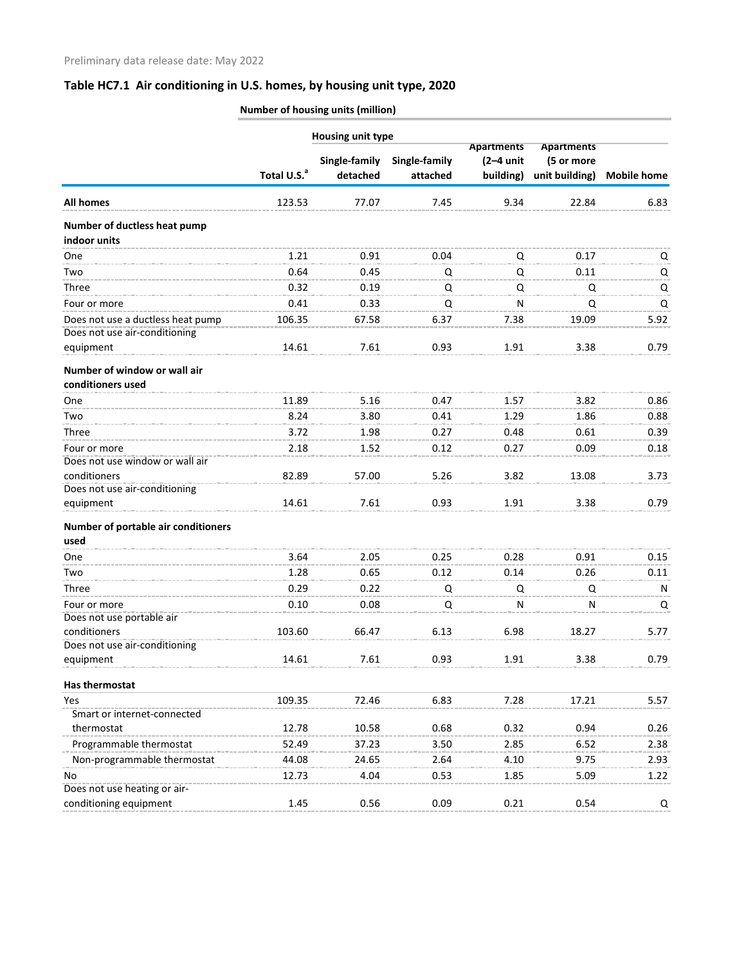**Number of housing units (million)**

|                                     |                         | <b>Housing unit type</b> |                   |                   |                |                    |
|-------------------------------------|-------------------------|--------------------------|-------------------|-------------------|----------------|--------------------|
|                                     |                         |                          | <b>Apartments</b> | <b>Apartments</b> |                |                    |
|                                     |                         | Single-family            | Single-family     | $(2-4$ unit       | (5 or more     |                    |
|                                     | Total U.S. <sup>a</sup> | detached                 | attached          | building)         | unit building) | <b>Mobile home</b> |
| All homes                           | 123.53                  | 77.07                    | 7.45              | 9.34              | 22.84          | 6.83               |
| Number of ductless heat pump        |                         |                          |                   |                   |                |                    |
| indoor units                        |                         |                          |                   |                   |                |                    |
| One                                 | 1.21                    | 0.91                     | 0.04              | Q                 | 0.17           | Q                  |
| Two                                 | 0.64                    | 0.45                     | Q                 | Q                 | 0.11           | Q                  |
| Three                               | 0.32                    | 0.19                     | Q                 | Q                 | Q              | Q                  |
| Four or more                        | 0.41                    | 0.33                     | Q                 | N                 | Q              | Q                  |
| Does not use a ductless heat pump   | 106.35                  | 67.58                    | 6.37              | 7.38              | 19.09          | 5.92               |
| Does not use air-conditioning       |                         |                          |                   |                   |                |                    |
| equipment                           | 14.61                   | 7.61                     | 0.93              | 1.91              | 3.38           | 0.79               |
| Number of window or wall air        |                         |                          |                   |                   |                |                    |
| conditioners used                   |                         |                          |                   |                   |                |                    |
| One                                 | 11.89                   | 5.16                     | 0.47              | 1.57              | 3.82           | 0.86               |
| Two                                 | 8.24                    | 3.80                     | 0.41              | 1.29              | 1.86           | 0.88               |
| Three                               | 3.72                    | 1.98                     | 0.27              | 0.48              | 0.61           | 0.39               |
| Four or more                        | 2.18                    | 1.52                     | 0.12              | 0.27              | 0.09           | 0.18               |
| Does not use window or wall air     |                         |                          |                   |                   |                |                    |
| conditioners                        | 82.89                   | 57.00                    | 5.26              | 3.82              | 13.08          | 3.73               |
| Does not use air-conditioning       |                         |                          |                   |                   |                |                    |
| equipment                           | 14.61                   | 7.61                     | 0.93              | 1.91              | 3.38           | 0.79               |
| Number of portable air conditioners |                         |                          |                   |                   |                |                    |
| used                                |                         |                          |                   |                   |                |                    |
| One                                 | 3.64                    | 2.05                     | 0.25              | 0.28              | 0.91           | 0.15               |
| Two                                 | 1.28                    | 0.65                     | 0.12              | 0.14              | 0.26           | 0.11               |
| Three                               | 0.29                    | 0.22                     | Q                 | Q                 | Q              | N                  |
| Four or more                        | 0.10                    | 0.08                     | Q                 | N                 | N              | Q                  |
| Does not use portable air           |                         |                          |                   |                   |                |                    |
| conditioners                        | 103.60                  | 66.47                    | 6.13              | 6.98              | 18.27          | 5.77               |
| Does not use air-conditioning       |                         |                          |                   |                   |                |                    |
| equipment                           | 14.61                   | 7.61                     | 0.93              | 1.91              | 3.38           | 0.79               |
| Has thermostat                      |                         |                          |                   |                   |                |                    |
| Yes                                 | 109.35                  | 72.46                    | 6.83              | 7.28              | 17.21          | 5.57               |
| Smart or internet-connected         |                         |                          |                   |                   |                |                    |
| thermostat                          | 12.78                   | 10.58                    | 0.68              | 0.32              | 0.94           | 0.26               |
| Programmable thermostat             | 52.49                   | 37.23                    | 3.50              | 2.85              | 6.52           | 2.38               |
| Non-programmable thermostat         | 44.08                   | 24.65                    | 2.64              | 4.10              | 9.75           | 2.93               |
| No                                  | 12.73                   | 4.04                     | 0.53              | 1.85              | 5.09           | 1.22               |
| Does not use heating or air-        |                         |                          |                   |                   |                |                    |
| conditioning equipment              | 1.45                    | 0.56                     | 0.09              | 0.21              | 0.54           | Q                  |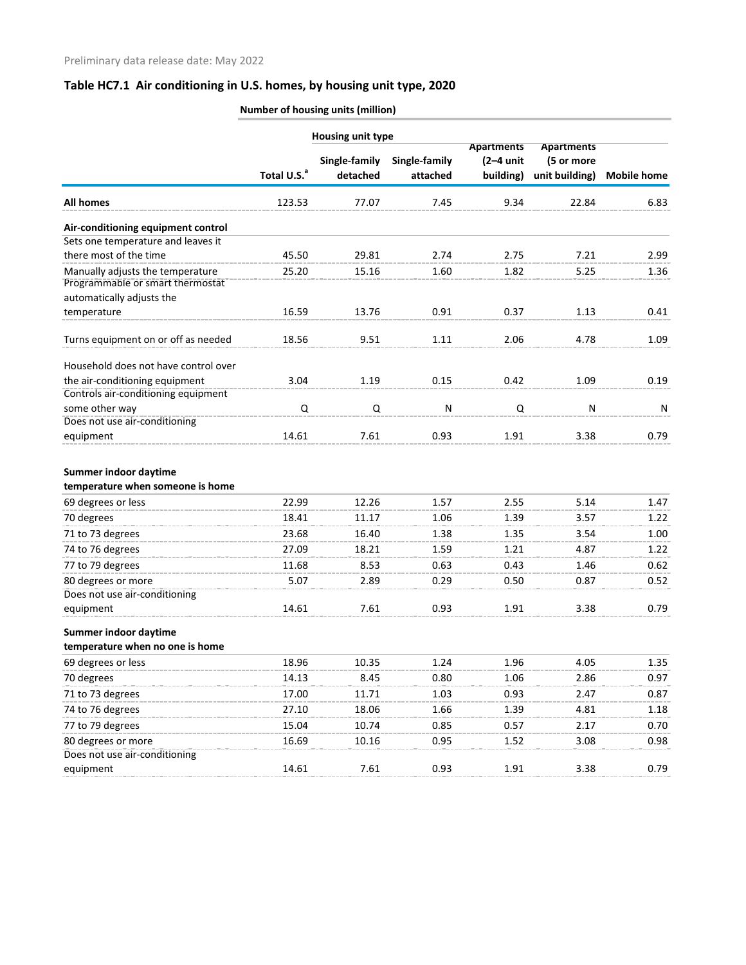|                                      |                         | $\frac{1}{2}$     |               |                   |                   |                    |
|--------------------------------------|-------------------------|-------------------|---------------|-------------------|-------------------|--------------------|
|                                      |                         | Housing unit type |               |                   |                   |                    |
|                                      |                         |                   |               | <b>Apartments</b> | <b>Apartments</b> |                    |
|                                      |                         | Single-family     | Single-family | $(2-4$ unit       | (5 or more        |                    |
|                                      | Total U.S. <sup>a</sup> | detached          | attached      | building)         | unit building)    | <b>Mobile home</b> |
| <b>All homes</b>                     | 123.53                  | 77.07             | 7.45          | 9.34              | 22.84             | 6.83               |
| Air-conditioning equipment control   |                         |                   |               |                   |                   |                    |
| Sets one temperature and leaves it   |                         |                   |               |                   |                   |                    |
| there most of the time               | 45.50                   | 29.81             | 2.74          | 2.75              | 7.21              | 2.99               |
| Manually adjusts the temperature     | 25.20                   | 15.16             | 1.60          | 1.82              | 5.25              | 1.36               |
| Programmable or smart thermostat     |                         |                   |               |                   |                   |                    |
| automatically adjusts the            |                         |                   |               |                   |                   |                    |
| temperature                          | 16.59                   | 13.76             | 0.91          | 0.37              | 1.13              | 0.41               |
| Turns equipment on or off as needed  | 18.56                   | 9.51              | 1.11          | 2.06              | 4.78              | 1.09               |
| Household does not have control over |                         |                   |               |                   |                   |                    |
| the air-conditioning equipment       | 3.04                    | 1.19              | 0.15          | 0.42              | 1.09              | 0.19               |
| Controls air-conditioning equipment  |                         |                   |               |                   |                   |                    |
| some other way                       | Q                       | Q                 | N             | Q                 | N                 | N                  |
| Does not use air-conditioning        |                         |                   |               |                   |                   |                    |
| equipment                            | 14.61                   | 7.61              | 0.93          | 1.91              | 3.38              | 0.79               |
| Summer indoor daytime                |                         |                   |               |                   |                   |                    |
| temperature when someone is home     |                         |                   |               |                   |                   |                    |
| 69 degrees or less                   | 22.99                   | 12.26             | 1.57          | 2.55              | 5.14              | 1.47               |
| 70 degrees                           | 18.41                   | 11.17             | 1.06          | 1.39              | 3.57              | 1.22               |
| 71 to 73 degrees                     | 23.68                   | 16.40             | 1.38          | 1.35              | 3.54              | 1.00               |
| 74 to 76 degrees                     | 27.09                   | 18.21             | 1.59          | 1.21              | 4.87              | 1.22               |
| 77 to 79 degrees                     | 11.68                   | 8.53              | 0.63          | 0.43              | 1.46              | 0.62               |
| 80 degrees or more                   | 5.07                    | 2.89              | 0.29          | 0.50              | 0.87              | 0.52               |
| Does not use air-conditioning        |                         |                   |               |                   |                   |                    |
| equipment                            | 14.61                   | 7.61              | 0.93          | 1.91              | 3.38              | 0.79               |
| Summer indoor daytime                |                         |                   |               |                   |                   |                    |
| temperature when no one is home      |                         |                   |               |                   |                   |                    |
| 69 degrees or less                   | 18.96                   | 10.35             | 1.24          | 1.96              | 4.05              | 1.35               |
| 70 degrees                           | 14.13                   | 8.45              | 0.80          | 1.06              | 2.86              | 0.97               |
| 71 to 73 degrees                     | 17.00                   | 11.71             | 1.03          | 0.93              | 2.47              | 0.87               |
| 74 to 76 degrees                     | 27.10                   | 18.06             | 1.66          | 1.39              | 4.81              | 1.18               |
| 77 to 79 degrees                     | 15.04                   | 10.74             | 0.85          | 0.57              | 2.17              | 0.70               |
| 80 degrees or more                   | 16.69                   | 10.16             | 0.95          | 1.52              | 3.08              | 0.98               |
| Does not use air-conditioning        |                         |                   |               |                   |                   |                    |
| equipment                            | 14.61                   | 7.61              | 0.93          | 1.91              | 3.38              | 0.79               |

**Number of housing units (million)**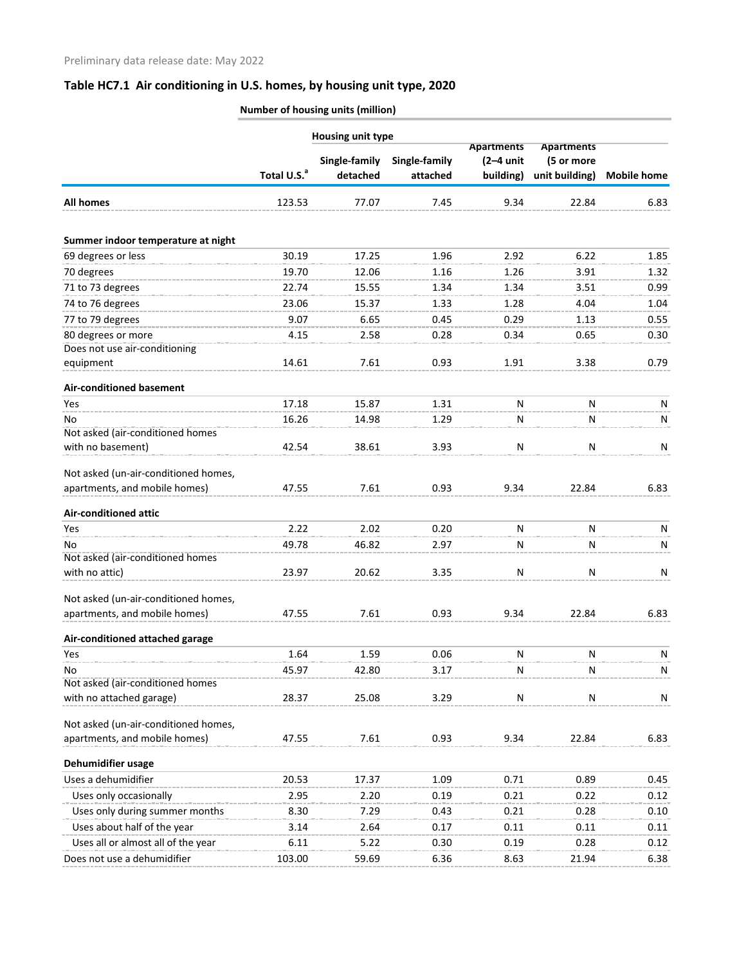**Number of housing units (million)**

|                                      |                         | <b>Housing unit type</b>  |                           |                                               |                                                   |                    |
|--------------------------------------|-------------------------|---------------------------|---------------------------|-----------------------------------------------|---------------------------------------------------|--------------------|
|                                      | Total U.S. <sup>a</sup> | Single-family<br>detached | Single-family<br>attached | <b>Apartments</b><br>$(2-4$ unit<br>building) | <b>Apartments</b><br>(5 or more<br>unit building) | <b>Mobile home</b> |
| <b>All homes</b>                     | 123.53                  | 77.07                     | 7.45                      | 9.34                                          | 22.84                                             | 6.83               |
| Summer indoor temperature at night   |                         |                           |                           |                                               |                                                   |                    |
| 69 degrees or less                   | 30.19                   | 17.25                     | 1.96                      | 2.92                                          | 6.22                                              | 1.85               |
| 70 degrees                           | 19.70                   | 12.06                     | 1.16                      | 1.26                                          | 3.91                                              | 1.32               |
| 71 to 73 degrees                     | 22.74                   | 15.55                     | 1.34                      | 1.34                                          | 3.51                                              | 0.99               |
| 74 to 76 degrees                     | 23.06                   | 15.37                     | 1.33                      | 1.28                                          | 4.04                                              | 1.04               |
| 77 to 79 degrees                     | 9.07                    | 6.65                      | 0.45                      | 0.29                                          | 1.13                                              | 0.55               |
| 80 degrees or more                   | 4.15                    | 2.58                      | 0.28                      | 0.34                                          | 0.65                                              | 0.30               |
| Does not use air-conditioning        |                         |                           |                           |                                               |                                                   |                    |
| equipment                            | 14.61                   | 7.61                      | 0.93                      | 1.91                                          | 3.38                                              | 0.79               |
| <b>Air-conditioned basement</b>      |                         |                           |                           |                                               |                                                   |                    |
| Yes                                  | 17.18                   | 15.87                     | 1.31                      | N                                             | N                                                 | N                  |
| No                                   | 16.26                   | 14.98                     | 1.29                      | N                                             | N                                                 | N                  |
| Not asked (air-conditioned homes     |                         |                           |                           |                                               |                                                   |                    |
| with no basement)                    | 42.54                   | 38.61                     | 3.93                      | ${\sf N}$                                     | N                                                 | N                  |
| Not asked (un-air-conditioned homes, |                         |                           |                           |                                               |                                                   |                    |
| apartments, and mobile homes)        | 47.55                   | 7.61                      | 0.93                      | 9.34                                          | 22.84                                             | 6.83               |
| <b>Air-conditioned attic</b>         |                         |                           |                           |                                               |                                                   |                    |
| Yes                                  | 2.22                    | 2.02                      | 0.20                      | N                                             | N                                                 | N                  |
| No                                   | 49.78                   | 46.82                     | 2.97                      | N                                             | N                                                 | N                  |
| Not asked (air-conditioned homes     |                         |                           |                           |                                               |                                                   |                    |
| with no attic)                       | 23.97                   | 20.62                     | 3.35                      | N                                             | N                                                 | N                  |
| Not asked (un-air-conditioned homes, |                         |                           |                           |                                               |                                                   |                    |
| apartments, and mobile homes)        | 47.55                   | 7.61                      | 0.93                      | 9.34                                          | 22.84                                             | 6.83               |
| Air-conditioned attached garage      |                         |                           |                           |                                               |                                                   |                    |
| Yes                                  | 1.64                    | 1.59                      | 0.06                      | N                                             | N                                                 | N                  |
| No                                   | 45.97                   | 42.80                     | 3.17                      | N                                             | N                                                 | N                  |
| Not asked (air-conditioned homes     |                         |                           |                           |                                               |                                                   |                    |
| with no attached garage)             | 28.37                   | 25.08                     | 3.29                      | ${\sf N}$                                     | N                                                 | N                  |
| Not asked (un-air-conditioned homes, |                         |                           |                           |                                               |                                                   |                    |
| apartments, and mobile homes)        | 47.55                   | 7.61                      | 0.93                      | 9.34                                          | 22.84                                             | 6.83               |
| Dehumidifier usage                   |                         |                           |                           |                                               |                                                   |                    |
| Uses a dehumidifier                  | 20.53                   | 17.37                     | 1.09                      | 0.71                                          | 0.89                                              | 0.45               |
| Uses only occasionally               | 2.95                    | 2.20                      | 0.19                      | 0.21                                          | 0.22                                              | 0.12               |
| Uses only during summer months       | 8.30                    | 7.29                      | 0.43                      | 0.21                                          | 0.28                                              | 0.10               |
| Uses about half of the year          | 3.14                    | 2.64                      | 0.17                      | 0.11                                          | 0.11                                              | 0.11               |
| Uses all or almost all of the year   | 6.11                    | 5.22                      | 0.30                      | 0.19                                          | 0.28                                              | 0.12               |
| Does not use a dehumidifier          | 103.00                  | 59.69                     | 6.36                      | 8.63                                          | 21.94                                             | 6.38               |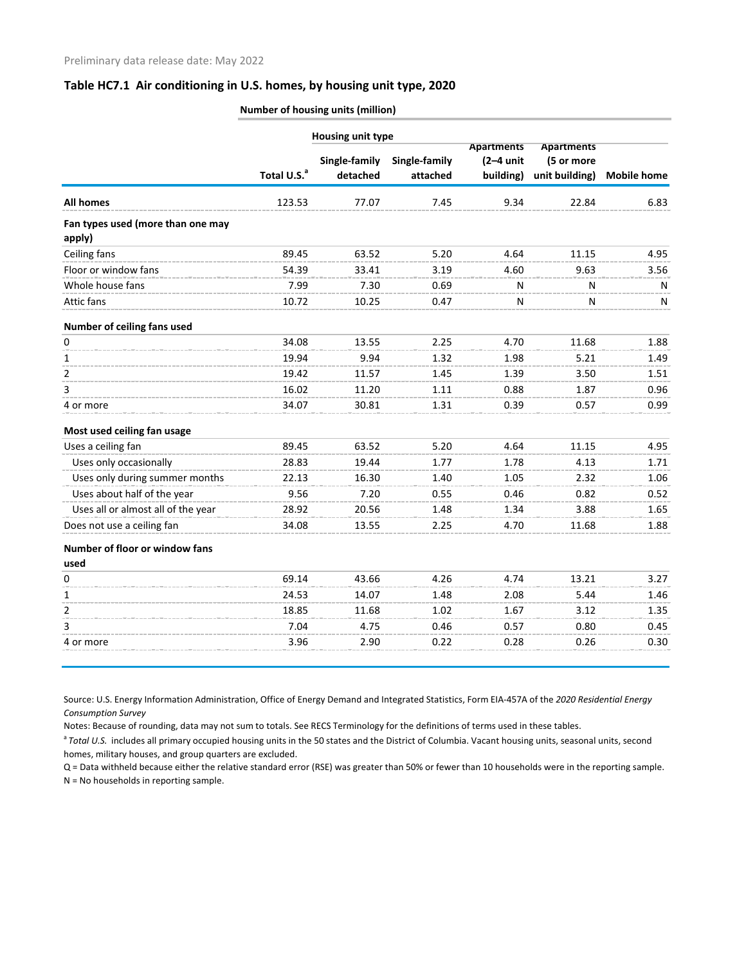|                                             |                         | <b>Housing unit type</b>  |                           |                                               |                                                   |                    |
|---------------------------------------------|-------------------------|---------------------------|---------------------------|-----------------------------------------------|---------------------------------------------------|--------------------|
|                                             | Total U.S. <sup>a</sup> | Single-family<br>detached | Single-family<br>attached | <b>Apartments</b><br>$(2-4$ unit<br>building) | <b>Apartments</b><br>(5 or more<br>unit building) | <b>Mobile home</b> |
| All homes                                   | 123.53                  | 77.07                     | 7.45                      | 9.34                                          | 22.84                                             | 6.83               |
| Fan types used (more than one may<br>apply) |                         |                           |                           |                                               |                                                   |                    |
| Ceiling fans                                | 89.45                   | 63.52                     | 5.20                      | 4.64                                          | 11.15                                             | 4.95               |
| Floor or window fans                        | 54.39                   | 33.41                     | 3.19                      | 4.60                                          | 9.63                                              | 3.56               |
| Whole house fans                            | 7.99                    | 7.30                      | 0.69                      | N                                             | N                                                 | N                  |
| Attic fans                                  | 10.72                   | 10.25                     | 0.47                      | N                                             | N                                                 | N                  |
| Number of ceiling fans used                 |                         |                           |                           |                                               |                                                   |                    |
| 0                                           | 34.08                   | 13.55                     | 2.25                      | 4.70                                          | 11.68                                             | 1.88               |
| 1                                           | 19.94                   | 9.94                      | 1.32                      | 1.98                                          | 5.21                                              | 1.49               |
| 2                                           | 19.42                   | 11.57                     | 1.45                      | 1.39                                          | 3.50                                              | 1.51               |
| 3                                           | 16.02                   | 11.20                     | 1.11                      | 0.88                                          | 1.87                                              | 0.96               |
| 4 or more                                   | 34.07                   | 30.81                     | 1.31                      | 0.39                                          | 0.57                                              | 0.99               |
| Most used ceiling fan usage                 |                         |                           |                           |                                               |                                                   |                    |
| Uses a ceiling fan                          | 89.45                   | 63.52                     | 5.20                      | 4.64                                          | 11.15                                             | 4.95               |
| Uses only occasionally                      | 28.83                   | 19.44                     | 1.77                      | 1.78                                          | 4.13                                              | 1.71               |
| Uses only during summer months              | 22.13                   | 16.30                     | 1.40                      | 1.05                                          | 2.32                                              | 1.06               |
| Uses about half of the year                 | 9.56                    | 7.20                      | 0.55                      | 0.46                                          | 0.82                                              | 0.52               |
| Uses all or almost all of the year          | 28.92                   | 20.56                     | 1.48                      | 1.34                                          | 3.88                                              | 1.65               |
| Does not use a ceiling fan                  | 34.08                   | 13.55                     | 2.25                      | 4.70                                          | 11.68                                             | 1.88               |
| Number of floor or window fans<br>used      |                         |                           |                           |                                               |                                                   |                    |
| 0                                           | 69.14                   | 43.66                     | 4.26                      | 4.74                                          | 13.21                                             | 3.27               |
| 1                                           | 24.53                   | 14.07                     | 1.48                      | 2.08                                          | 5.44                                              | 1.46               |
| 2                                           | 18.85                   | 11.68                     | 1.02                      | 1.67                                          | 3.12                                              | 1.35               |
| 3                                           | 7.04                    | 4.75                      | 0.46                      | 0.57                                          | 0.80                                              | 0.45               |
| 4 or more                                   | 3.96                    | 2.90                      | 0.22                      | 0.28                                          | 0.26                                              | 0.30               |
|                                             |                         |                           |                           |                                               |                                                   |                    |

**Number of housing units (million)**

Source: U.S. Energy Information Administration, Office of Energy Demand and Integrated Statistics, Form EIA-457A of the *2020 Residential Energy Consumption Survey*

Notes: Because of rounding, data may not sum to totals. See RECS Terminology for the definitions of terms used in these tables.

<sup>a</sup> Total U.S. includes all primary occupied housing units in the 50 states and the District of Columbia. Vacant housing units, seasonal units, second homes, military houses, and group quarters are excluded.

Q = Data withheld because either the relative standard error (RSE) was greater than 50% or fewer than 10 households were in the reporting sample. N = No households in reporting sample.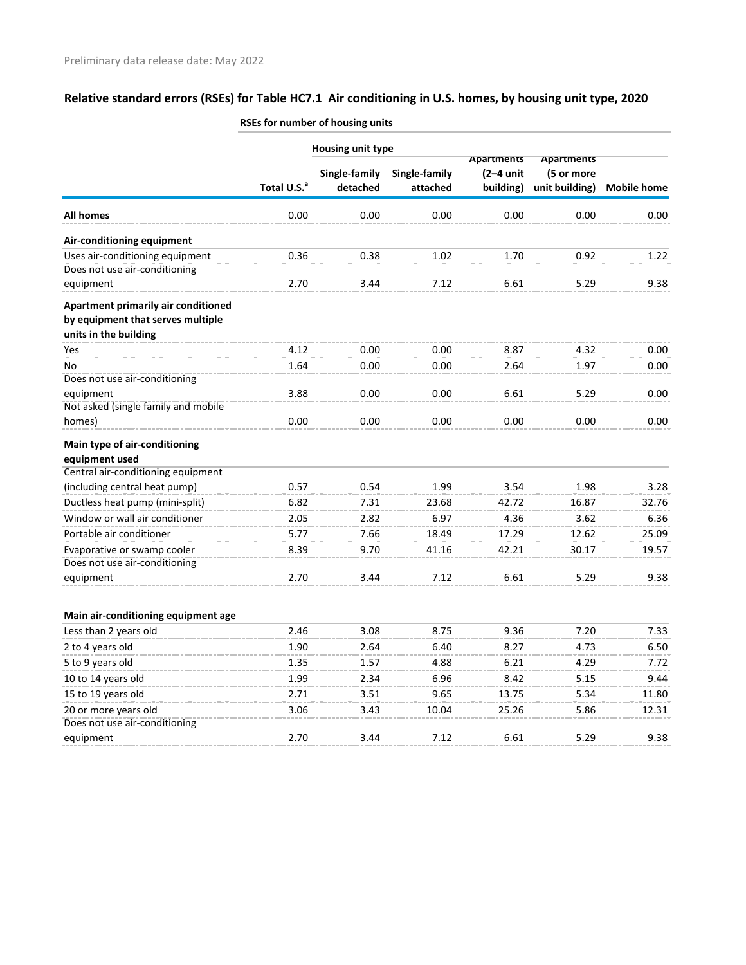|                                     |                         | <b>Housing unit type</b>  |                           |                                               |                                                   |                    |
|-------------------------------------|-------------------------|---------------------------|---------------------------|-----------------------------------------------|---------------------------------------------------|--------------------|
|                                     | Total U.S. <sup>a</sup> | Single-family<br>detached | Single-family<br>attached | <b>Apartments</b><br>$(2-4$ unit<br>building) | <b>Apartments</b><br>(5 or more<br>unit building) | <b>Mobile home</b> |
|                                     |                         |                           |                           |                                               |                                                   |                    |
| <b>All homes</b>                    | 0.00                    | 0.00                      | 0.00                      | 0.00                                          | 0.00                                              | 0.00               |
| Air-conditioning equipment          |                         |                           |                           |                                               |                                                   |                    |
| Uses air-conditioning equipment     | 0.36                    | 0.38                      | 1.02                      | 1.70                                          | 0.92                                              | 1.22               |
| Does not use air-conditioning       |                         |                           |                           |                                               |                                                   |                    |
| equipment                           | 2.70                    | 3.44                      | 7.12                      | 6.61                                          | 5.29                                              | 9.38               |
| Apartment primarily air conditioned |                         |                           |                           |                                               |                                                   |                    |
| by equipment that serves multiple   |                         |                           |                           |                                               |                                                   |                    |
| units in the building               |                         |                           |                           |                                               |                                                   |                    |
| Yes                                 | 4.12                    | 0.00                      | 0.00                      | 8.87                                          | 4.32                                              | 0.00               |
| No                                  | 1.64                    | 0.00                      | 0.00                      | 2.64                                          | 1.97                                              | 0.00               |
| Does not use air-conditioning       |                         |                           |                           |                                               |                                                   |                    |
| equipment                           | 3.88                    | 0.00                      | 0.00                      | 6.61                                          | 5.29                                              | 0.00               |
| Not asked (single family and mobile |                         |                           |                           |                                               |                                                   |                    |
| homes)                              | 0.00                    | 0.00                      | 0.00                      | 0.00                                          | 0.00                                              | 0.00               |
| Main type of air-conditioning       |                         |                           |                           |                                               |                                                   |                    |
| equipment used                      |                         |                           |                           |                                               |                                                   |                    |
| Central air-conditioning equipment  |                         |                           |                           |                                               |                                                   |                    |
| (including central heat pump)       | 0.57                    | 0.54                      | 1.99                      | 3.54                                          | 1.98                                              | 3.28               |
| Ductless heat pump (mini-split)     | 6.82                    | 7.31                      | 23.68                     | 42.72                                         | 16.87                                             | 32.76              |
| Window or wall air conditioner      | 2.05                    | 2.82                      | 6.97                      | 4.36                                          | 3.62                                              | 6.36               |
| Portable air conditioner            | 5.77                    | 7.66                      | 18.49                     | 17.29                                         | 12.62                                             | 25.09              |
| Evaporative or swamp cooler         | 8.39                    | 9.70                      | 41.16                     | 42.21                                         | 30.17                                             | 19.57              |
| Does not use air-conditioning       |                         |                           |                           |                                               |                                                   |                    |
| equipment                           | 2.70                    | 3.44                      | 7.12                      | 6.61                                          | 5.29                                              | 9.38               |
|                                     |                         |                           |                           |                                               |                                                   |                    |
| Main air-conditioning equipment age |                         |                           |                           |                                               |                                                   |                    |
| Less than 2 years old               | 2.46                    | 3.08                      | 8.75                      | 9.36                                          | 7.20                                              | 7.33               |
| 2 to 4 years old                    | 1.90                    | 2.64                      | 6.40                      | 8.27                                          | 4.73                                              | 6.50               |
| 5 to 9 years old                    | 1.35                    | 1.57                      | 4.88                      | 6.21                                          | 4.29                                              | 7.72               |
| 10 to 14 years old                  | 1.99                    | 2.34                      | 6.96                      | 8.42                                          | 5.15                                              | 9.44               |
| 15 to 19 years old                  | 2.71                    | 3.51                      | 9.65                      | 13.75                                         | 5.34                                              | 11.80              |
| 20 or more years old                | 3.06                    | 3.43                      | 10.04                     | 25.26                                         | 5.86                                              | 12.31              |
| Does not use air-conditioning       |                         |                           |                           |                                               |                                                   |                    |
| equipment                           | 2.70                    | 3.44                      | 7.12                      | 6.61                                          | 5.29                                              | 9.38               |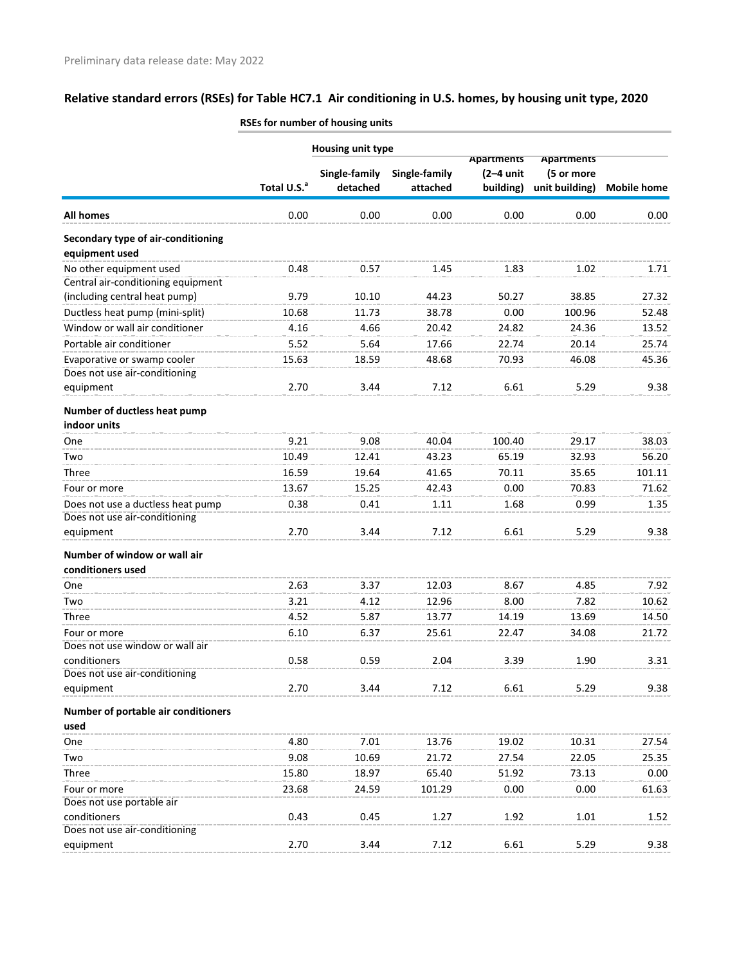|                                                      |                         | <b>Housing unit type</b> |               |                   |                   |                    |
|------------------------------------------------------|-------------------------|--------------------------|---------------|-------------------|-------------------|--------------------|
|                                                      |                         |                          |               | <b>Apartments</b> | <b>Apartments</b> |                    |
|                                                      |                         | Single-family            | Single-family | $(2-4$ unit       | (5 or more        |                    |
|                                                      | Total U.S. <sup>a</sup> | detached                 | attached      | building)         | unit building)    | <b>Mobile home</b> |
| <b>All homes</b>                                     | 0.00                    | 0.00                     | 0.00          | 0.00              | 0.00              | 0.00               |
| Secondary type of air-conditioning<br>equipment used |                         |                          |               |                   |                   |                    |
| No other equipment used                              | 0.48                    | 0.57                     | 1.45          | 1.83              | 1.02              | 1.71               |
| Central air-conditioning equipment                   |                         |                          |               |                   |                   |                    |
| (including central heat pump)                        | 9.79                    | 10.10                    | 44.23         | 50.27             | 38.85             | 27.32              |
| Ductless heat pump (mini-split)                      | 10.68                   | 11.73                    | 38.78         | 0.00              | 100.96            | 52.48              |
| Window or wall air conditioner                       | 4.16                    | 4.66                     | 20.42         | 24.82             | 24.36             | 13.52              |
| Portable air conditioner                             | 5.52                    | 5.64                     | 17.66         | 22.74             | 20.14             | 25.74              |
| Evaporative or swamp cooler                          | 15.63                   | 18.59                    | 48.68         | 70.93             | 46.08             | 45.36              |
| Does not use air-conditioning                        |                         |                          |               |                   |                   |                    |
| equipment                                            | 2.70                    | 3.44                     | 7.12          | 6.61              | 5.29              | 9.38               |
| Number of ductless heat pump<br>indoor units         |                         |                          |               |                   |                   |                    |
| One                                                  | 9.21                    | 9.08                     | 40.04         | 100.40            | 29.17             | 38.03              |
| Two                                                  | 10.49                   | 12.41                    | 43.23         | 65.19             | 32.93             | 56.20              |
| Three                                                | 16.59                   | 19.64                    | 41.65         | 70.11             | 35.65             | 101.11             |
| Four or more                                         | 13.67                   | 15.25                    | 42.43         | 0.00              | 70.83             | 71.62              |
| Does not use a ductless heat pump                    | 0.38                    | 0.41                     | 1.11          | 1.68              | 0.99              | 1.35               |
| Does not use air-conditioning                        |                         |                          |               |                   |                   |                    |
| equipment                                            | 2.70                    | 3.44                     | 7.12          | 6.61              | 5.29              | 9.38               |
| Number of window or wall air                         |                         |                          |               |                   |                   |                    |
| conditioners used                                    |                         |                          |               |                   |                   |                    |
| One                                                  | 2.63                    | 3.37                     | 12.03         | 8.67              | 4.85              | 7.92               |
| Two                                                  | 3.21                    | 4.12                     | 12.96         | 8.00              | 7.82              | 10.62              |
| Three                                                | 4.52                    | 5.87                     | 13.77         | 14.19             | 13.69             | 14.50              |
| Four or more                                         | 6.10                    | 6.37                     | 25.61         | 22.47             | 34.08             | 21.72              |
| Does not use window or wall air                      |                         |                          |               |                   |                   |                    |
| conditioners                                         | 0.58                    | 0.59                     | 2.04          | 3.39              | 1.90              | 3.31               |
| Does not use air-conditioning                        |                         |                          |               |                   |                   |                    |
| equipment                                            | 2.70                    | 3.44                     | 7.12          | 6.61              | 5.29              | 9.38               |
| Number of portable air conditioners<br>used          |                         |                          |               |                   |                   |                    |
| One                                                  | 4.80                    | 7.01                     | 13.76         | 19.02             | 10.31             | 27.54              |
| Two                                                  | 9.08                    | 10.69                    | 21.72         | 27.54             | 22.05             | 25.35              |
| Three                                                | 15.80                   | 18.97                    | 65.40         | 51.92             | 73.13             | 0.00               |
| Four or more                                         | 23.68                   | 24.59                    | 101.29        | 0.00              | 0.00              | 61.63              |
| Does not use portable air                            |                         |                          |               |                   |                   |                    |
| conditioners                                         | 0.43                    | 0.45                     | 1.27          | 1.92              | 1.01              | 1.52               |
| Does not use air-conditioning                        |                         |                          |               |                   |                   |                    |
| equipment                                            | 2.70                    | 3.44                     | 7.12          | 6.61              | 5.29              | 9.38               |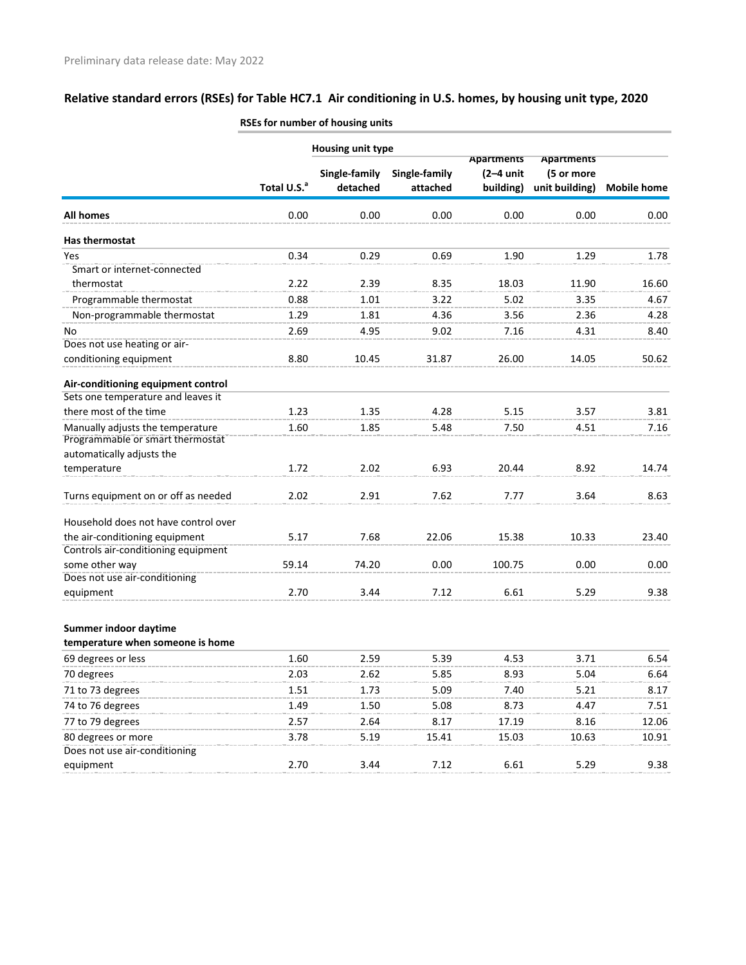|                                      |                         | <b>Housing unit type</b>  |                           |                                               |                                                   |                    |
|--------------------------------------|-------------------------|---------------------------|---------------------------|-----------------------------------------------|---------------------------------------------------|--------------------|
|                                      | Total U.S. <sup>a</sup> | Single-family<br>detached | Single-family<br>attached | <b>Apartments</b><br>$(2-4$ unit<br>building) | <b>Apartments</b><br>(5 or more<br>unit building) | <b>Mobile home</b> |
| <b>All homes</b>                     | 0.00                    | 0.00                      | 0.00                      | 0.00                                          | 0.00                                              | 0.00               |
| Has thermostat                       |                         |                           |                           |                                               |                                                   |                    |
| Yes                                  | 0.34                    | 0.29                      | 0.69                      | 1.90                                          | 1.29                                              | 1.78               |
| Smart or internet-connected          |                         |                           |                           |                                               |                                                   |                    |
| thermostat                           | 2.22                    | 2.39                      | 8.35                      | 18.03                                         | 11.90                                             | 16.60              |
| Programmable thermostat              | 0.88                    | 1.01                      | 3.22                      | 5.02                                          | 3.35                                              | 4.67               |
| Non-programmable thermostat          | 1.29                    | 1.81                      | 4.36                      | 3.56                                          | 2.36                                              | 4.28               |
| No                                   | 2.69                    | 4.95                      | 9.02                      | 7.16                                          | 4.31                                              | 8.40               |
| Does not use heating or air-         |                         |                           |                           |                                               |                                                   |                    |
| conditioning equipment               | 8.80                    | 10.45                     | 31.87                     | 26.00                                         | 14.05                                             | 50.62              |
| Air-conditioning equipment control   |                         |                           |                           |                                               |                                                   |                    |
| Sets one temperature and leaves it   |                         |                           |                           |                                               |                                                   |                    |
| there most of the time               | 1.23                    | 1.35                      | 4.28                      | 5.15                                          | 3.57                                              | 3.81               |
| Manually adjusts the temperature     | 1.60                    | 1.85                      | 5.48                      | 7.50                                          | 4.51                                              | 7.16               |
| Programmable or smart thermostat     |                         |                           |                           |                                               |                                                   |                    |
| automatically adjusts the            |                         |                           |                           |                                               |                                                   |                    |
| temperature                          | 1.72                    | 2.02                      | 6.93                      | 20.44                                         | 8.92                                              | 14.74              |
| Turns equipment on or off as needed  | 2.02                    | 2.91                      | 7.62                      | 7.77                                          | 3.64                                              | 8.63               |
| Household does not have control over |                         |                           |                           |                                               |                                                   |                    |
| the air-conditioning equipment       | 5.17                    | 7.68                      | 22.06                     | 15.38                                         | 10.33                                             | 23.40              |
| Controls air-conditioning equipment  |                         |                           |                           |                                               |                                                   |                    |
| some other way                       | 59.14                   | 74.20                     | 0.00                      | 100.75                                        | 0.00                                              | 0.00               |
| Does not use air-conditioning        |                         |                           |                           |                                               |                                                   |                    |
| equipment                            | 2.70                    | 3.44                      | 7.12                      | 6.61                                          | 5.29                                              | 9.38               |
| Summer indoor daytime                |                         |                           |                           |                                               |                                                   |                    |
| temperature when someone is home     |                         |                           |                           |                                               |                                                   |                    |
| 69 degrees or less                   | 1.60                    | 2.59                      | 5.39                      | 4.53                                          | 3.71                                              | 6.54               |
| 70 degrees                           | 2.03                    | 2.62                      | 5.85                      | 8.93                                          | 5.04                                              | 6.64               |
| 71 to 73 degrees                     | 1.51                    | 1.73                      | 5.09                      | 7.40                                          | 5.21                                              | 8.17               |
| 74 to 76 degrees                     | 1.49                    | 1.50                      | 5.08                      | 8.73                                          | 4.47                                              | 7.51               |
| 77 to 79 degrees                     | 2.57                    | 2.64                      | 8.17                      | 17.19                                         | 8.16                                              | 12.06              |
| 80 degrees or more                   | 3.78                    | 5.19                      | 15.41                     | 15.03                                         | 10.63                                             | 10.91              |
| Does not use air-conditioning        |                         |                           |                           |                                               |                                                   |                    |
| equipment                            | 2.70                    | 3.44                      | 7.12                      | 6.61                                          | 5.29                                              | 9.38               |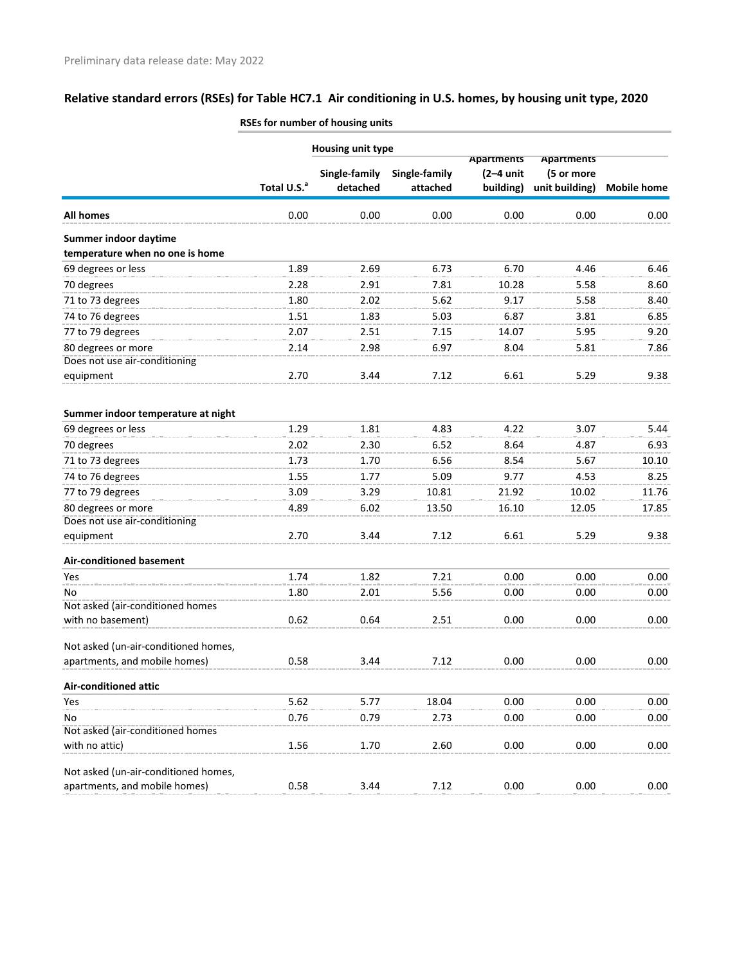|                                      | <b>Housing unit type</b> |                           |                           | Apartments               | <b>Apartments</b>            |                    |
|--------------------------------------|--------------------------|---------------------------|---------------------------|--------------------------|------------------------------|--------------------|
|                                      | Total U.S. <sup>a</sup>  | Single-family<br>detached | Single-family<br>attached | $(2-4$ unit<br>building) | (5 or more<br>unit building) | <b>Mobile home</b> |
| <b>All homes</b>                     | 0.00                     | 0.00                      | 0.00                      | 0.00                     | 0.00                         | 0.00               |
| Summer indoor daytime                |                          |                           |                           |                          |                              |                    |
| temperature when no one is home      |                          |                           |                           |                          |                              |                    |
| 69 degrees or less                   | 1.89                     | 2.69                      | 6.73                      | 6.70                     | 4.46                         | 6.46               |
| 70 degrees                           | 2.28                     | 2.91                      | 7.81                      | 10.28                    | 5.58                         | 8.60               |
| 71 to 73 degrees                     | 1.80                     | 2.02                      | 5.62                      | 9.17                     | 5.58                         | 8.40               |
| 74 to 76 degrees                     | 1.51                     | 1.83                      | 5.03                      | 6.87                     | 3.81                         | 6.85               |
| 77 to 79 degrees                     | 2.07                     | 2.51                      | 7.15                      | 14.07                    | 5.95                         | 9.20               |
| 80 degrees or more                   | 2.14                     | 2.98                      | 6.97                      | 8.04                     | 5.81                         | 7.86               |
| Does not use air-conditioning        |                          |                           |                           |                          |                              |                    |
| equipment                            | 2.70                     | 3.44                      | 7.12                      | 6.61                     | 5.29                         | 9.38               |
| Summer indoor temperature at night   |                          |                           |                           |                          |                              |                    |
| 69 degrees or less                   | 1.29                     | 1.81                      | 4.83                      | 4.22                     | 3.07                         | 5.44               |
| 70 degrees                           | 2.02                     | 2.30                      | 6.52                      | 8.64                     | 4.87                         | 6.93               |
| 71 to 73 degrees                     | 1.73                     | 1.70                      | 6.56                      | 8.54                     | 5.67                         | 10.10              |
| 74 to 76 degrees                     | 1.55                     | 1.77                      | 5.09                      | 9.77                     | 4.53                         | 8.25               |
| 77 to 79 degrees                     | 3.09                     | 3.29                      | 10.81                     | 21.92                    | 10.02                        | 11.76              |
| 80 degrees or more                   | 4.89                     | 6.02                      | 13.50                     | 16.10                    | 12.05                        | 17.85              |
| Does not use air-conditioning        |                          |                           |                           |                          |                              |                    |
| equipment                            | 2.70                     | 3.44                      | 7.12                      | 6.61                     | 5.29                         | 9.38               |
| <b>Air-conditioned basement</b>      |                          |                           |                           |                          |                              |                    |
| Yes                                  | 1.74                     | 1.82                      | 7.21                      | 0.00                     | 0.00                         | 0.00               |
| No                                   | 1.80                     | 2.01                      | 5.56                      | 0.00                     | 0.00                         | 0.00               |
| Not asked (air-conditioned homes     |                          |                           |                           |                          |                              |                    |
| with no basement)                    | 0.62                     | 0.64                      | 2.51                      | 0.00                     | 0.00                         | 0.00               |
| Not asked (un-air-conditioned homes, |                          |                           |                           |                          |                              |                    |
| apartments, and mobile homes)        | 0.58                     | 3.44                      | 7.12                      | 0.00                     | 0.00                         | 0.00               |
| <b>Air-conditioned attic</b>         |                          |                           |                           |                          |                              |                    |
| Yes                                  | 5.62                     | 5.77                      | 18.04                     | 0.00                     | 0.00                         | 0.00               |
| No                                   | 0.76                     | 0.79                      | 2.73                      | 0.00                     | 0.00                         | 0.00               |
| Not asked (air-conditioned homes     |                          |                           |                           |                          |                              |                    |
| with no attic)                       | 1.56                     | 1.70                      | 2.60                      | 0.00                     | 0.00                         | 0.00               |
| Not asked (un-air-conditioned homes, |                          |                           |                           |                          |                              |                    |
| apartments, and mobile homes)        | 0.58                     | 3.44                      | 7.12                      | 0.00                     | 0.00                         | 0.00               |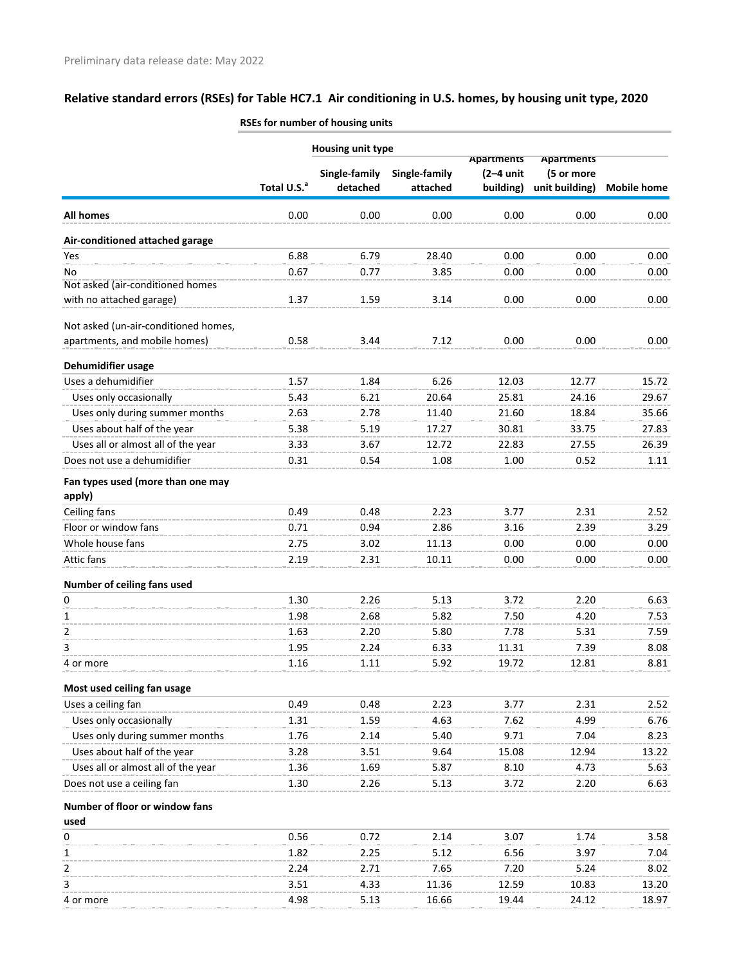|                                             |                         | Housing unit type         |                           |                          |                              |                    |
|---------------------------------------------|-------------------------|---------------------------|---------------------------|--------------------------|------------------------------|--------------------|
|                                             |                         |                           |                           | <b>Apartments</b>        | <b>Apartments</b>            |                    |
|                                             | Total U.S. <sup>a</sup> | Single-family<br>detached | Single-family<br>attached | $(2-4$ unit<br>building) | (5 or more<br>unit building) | <b>Mobile home</b> |
|                                             |                         |                           |                           |                          |                              |                    |
| All homes                                   | 0.00                    | 0.00                      | 0.00                      | 0.00                     | 0.00                         | 0.00               |
| Air-conditioned attached garage             |                         |                           |                           |                          |                              |                    |
| Yes                                         | 6.88                    | 6.79                      | 28.40                     | 0.00                     | 0.00                         | 0.00               |
| No                                          | 0.67                    | 0.77                      | 3.85                      | 0.00                     | 0.00                         | 0.00               |
| Not asked (air-conditioned homes            |                         |                           |                           |                          |                              |                    |
| with no attached garage)                    | 1.37                    | 1.59                      | 3.14                      | 0.00                     | 0.00                         | 0.00               |
| Not asked (un-air-conditioned homes,        |                         |                           |                           |                          |                              |                    |
| apartments, and mobile homes)               | 0.58                    | 3.44                      | 7.12                      | 0.00                     | 0.00                         | 0.00               |
| Dehumidifier usage                          |                         |                           |                           |                          |                              |                    |
| Uses a dehumidifier                         | 1.57                    | 1.84                      | 6.26                      | 12.03                    | 12.77                        | 15.72              |
| Uses only occasionally                      | 5.43                    | 6.21                      | 20.64                     | 25.81                    | 24.16                        | 29.67              |
| Uses only during summer months              | 2.63                    | 2.78                      | 11.40                     | 21.60                    | 18.84                        | 35.66              |
| Uses about half of the year                 | 5.38                    | 5.19                      | 17.27                     | 30.81                    | 33.75                        | 27.83              |
| Uses all or almost all of the year          | 3.33                    | 3.67                      | 12.72                     | 22.83                    | 27.55                        | 26.39              |
| Does not use a dehumidifier                 | 0.31                    | 0.54                      | 1.08                      | 1.00                     | 0.52                         | 1.11               |
|                                             |                         |                           |                           |                          |                              |                    |
| Fan types used (more than one may<br>apply) |                         |                           |                           |                          |                              |                    |
| Ceiling fans                                | 0.49                    | 0.48                      | 2.23                      | 3.77                     | 2.31                         | 2.52               |
| Floor or window fans                        | 0.71                    | 0.94                      | 2.86                      | 3.16                     | 2.39                         | 3.29               |
| Whole house fans                            | 2.75                    | 3.02                      | 11.13                     | 0.00                     | 0.00                         | 0.00               |
| Attic fans                                  | 2.19                    | 2.31                      | 10.11                     | 0.00                     | 0.00                         | 0.00               |
|                                             |                         |                           |                           |                          |                              |                    |
| Number of ceiling fans used<br>0            | 1.30                    | 2.26                      | 5.13                      | 3.72                     | 2.20                         | 6.63               |
|                                             |                         |                           |                           |                          |                              |                    |
| $\mathbf{1}$                                | 1.98                    | 2.68                      | 5.82                      | 7.50                     | 4.20                         | 7.53               |
| 2                                           | 1.63                    | 2.20                      | 5.80                      | 7.78                     | 5.31                         | 7.59               |
| 3                                           | 1.95                    | 2.24                      | 6.33                      | 11.31                    | 7.39                         | 8.08               |
| 4 or more                                   | 1.16                    | 1.11                      | 5.92                      | 19.72                    | 12.81                        | 8.81               |
| Most used ceiling fan usage                 |                         |                           |                           |                          |                              |                    |
| Uses a ceiling fan                          | 0.49                    | 0.48                      | 2.23                      | 3.77                     | 2.31                         | 2.52               |
| Uses only occasionally                      | 1.31                    | 1.59                      | 4.63                      | 7.62                     | 4.99                         | 6.76               |
| Uses only during summer months              | 1.76                    | 2.14                      | 5.40                      | 9.71                     | 7.04                         | 8.23               |
| Uses about half of the year                 | 3.28                    | 3.51                      | 9.64                      | 15.08                    | 12.94                        | 13.22              |
| Uses all or almost all of the year          | 1.36                    | 1.69                      | 5.87                      | 8.10                     | 4.73                         | 5.63               |
| Does not use a ceiling fan                  | 1.30                    | 2.26                      | 5.13                      | 3.72                     | 2.20                         | 6.63               |
| Number of floor or window fans              |                         |                           |                           |                          |                              |                    |
| used                                        |                         |                           |                           |                          |                              |                    |
| 0                                           | 0.56                    | 0.72                      | 2.14                      | 3.07                     | 1.74                         | 3.58               |
| 1                                           | 1.82                    | 2.25                      | 5.12                      | 6.56                     | 3.97                         | 7.04               |
| 2                                           | 2.24                    | 2.71                      | 7.65                      | 7.20                     | 5.24                         | 8.02               |
| 3                                           | 3.51                    | 4.33                      | 11.36                     | 12.59                    | 10.83                        | 13.20              |

4 or more 4.98 5.13 16.66 19.44 24.12 18.97